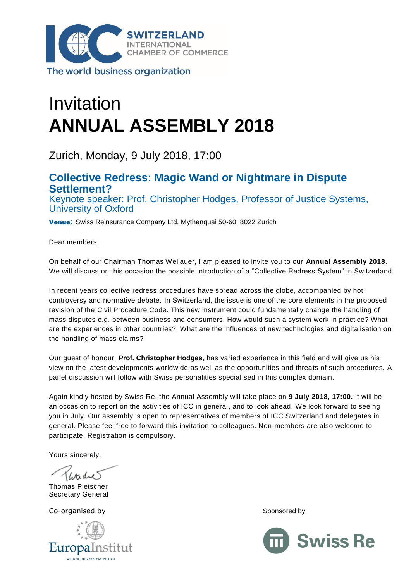

The world business organization

# Invitation **ANNUAL ASSEMBLY 2018**

Zurich, Monday, 9 July 2018, 17:00

## **Collective Redress: Magic Wand or Nightmare in Dispute Settlement?**

Keynote speaker: Prof. Christopher Hodges, Professor of Justice Systems, University of Oxford

Venue: Swiss Reinsurance Company Ltd, Mythenquai 50-60, 8022 Zurich

Dear members,

On behalf of our Chairman Thomas Wellauer, I am pleased to invite you to our **Annual Assembly 2018**. We will discuss on this occasion the possible introduction of a "Collective Redress System" in Switzerland.

In recent years collective redress procedures have spread across the globe, accompanied by hot controversy and normative debate. In Switzerland, the issue is one of the core elements in the proposed revision of the Civil Procedure Code. This new instrument could fundamentally change the handling of mass disputes e.g. between business and consumers. How would such a system work in practice? What are the experiences in other countries? What are the influences of new technologies and digitalisation on the handling of mass claims?

Our guest of honour, **Prof. Christopher Hodges**, has varied experience in this field and will give us his view on the latest developments worldwide as well as the opportunities and threats of such procedures. A panel discussion will follow with Swiss personalities specialised in this complex domain.

Again kindly hosted by Swiss Re, the Annual Assembly will take place on **9 July 2018, 17:00.** It will be an occasion to report on the activities of ICC in general, and to look ahead. We look forward to seeing you in July. Our assembly is open to representatives of members of ICC Switzerland and delegates in general. Please feel free to forward this invitation to colleagues. Non-members are also welcome to participate. Registration is compulsory.

Yours sincerely,

Thomas Pletscher Secretary General

Co-organised by Sponsored by Sponsored by Sponsored by Sponsored by Sponsored by Sponsored by Sponsored by Sponsored by Sponsored by Sponsored by Sponsored by Sponsored by Sponsored by Sponsored by Sponsored by Sponsored b



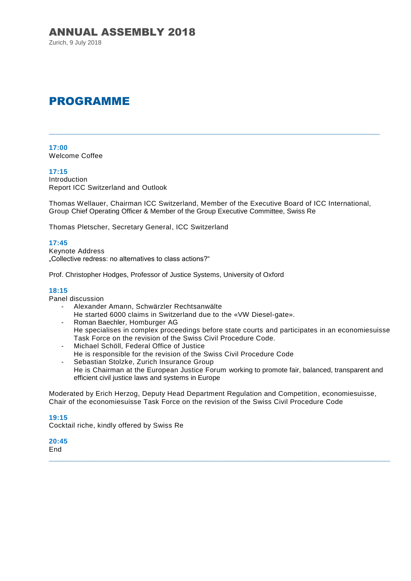Zurich, 9 July 2018

# PROGRAMME

**17:00** Welcome Coffee

#### **17:15**

Introduction Report ICC Switzerland and Outlook

Thomas Wellauer, Chairman ICC Switzerland, Member of the Executive Board of ICC International, Group Chief Operating Officer & Member of the Group Executive Committee, Swiss Re

\_\_\_\_\_\_\_\_\_\_\_\_\_\_\_\_\_\_\_\_\_\_\_\_\_\_\_\_\_\_\_\_\_\_\_\_\_\_\_\_\_\_\_\_\_\_\_\_\_\_\_\_\_\_\_\_\_\_\_\_\_\_\_\_\_\_\_\_\_\_\_\_\_\_\_\_\_\_\_\_\_\_\_\_\_\_\_\_\_\_\_\_\_\_\_\_

Thomas Pletscher, Secretary General, ICC Switzerland

#### **17:45**

Keynote Address "Collective redress: no alternatives to class actions?"

Prof. Christopher Hodges, Professor of Justice Systems, University of Oxford

#### **18:15**

Panel discussion

- Alexander Amann, Schwärzler Rechtsanwälte He started 6000 claims in Switzerland due to the «VW Diesel-gate».
- Roman Baechler, Homburger AG He specialises in complex proceedings before state courts and participates in an economiesuisse Task Force on the revision of the Swiss Civil Procedure Code.
- Michael Schöll, Federal Office of Justice
- He is responsible for the revision of the Swiss Civil Procedure Code
- Sebastian Stolzke, Zurich Insurance Group He is Chairman at the European Justice Forum working to promote fair, balanced, transparent and efficient civil justice laws and systems in Europe

Moderated by Erich Herzog, Deputy Head Department Regulation and Competition, economiesuisse, Chair of the economiesuisse Task Force on the revision of the Swiss Civil Procedure Code

\_\_\_\_\_\_\_\_\_\_\_\_\_\_\_\_\_\_\_\_\_\_\_\_\_\_\_\_\_\_\_\_\_\_\_\_\_\_\_\_\_\_\_\_\_\_\_\_\_\_\_\_\_\_\_\_\_\_\_\_\_\_\_\_\_\_\_\_\_\_\_\_\_\_\_\_\_\_\_\_\_\_\_\_\_\_\_\_\_\_\_\_\_\_\_\_\_\_\_

#### **19:15**

Cocktail riche, kindly offered by Swiss Re

**20:45 End**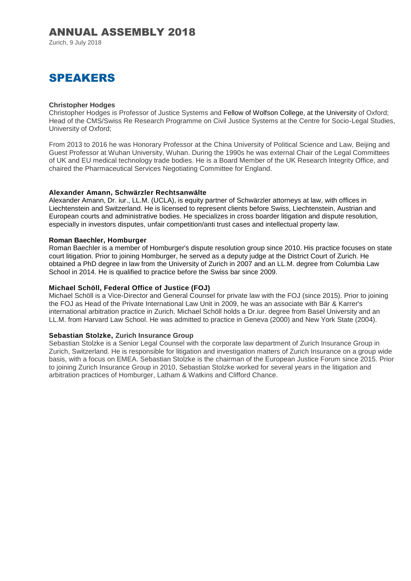Zurich, 9 July 2018

# SPEAKERS

#### **Christopher Hodges**

Christopher Hodges is Professor of Justice Systems and Fellow of Wolfson College, at the University of Oxford; Head of the CMS/Swiss Re Research Programme on Civil Justice Systems at the Centre for Socio-Legal Studies, University of Oxford;

From 2013 to 2016 he was Honorary Professor at the China University of Political Science and Law, Beijing and Guest Professor at Wuhan University, Wuhan. During the 1990s he was external Chair of the Legal Committees of UK and EU medical technology trade bodies. He is a Board Member of the UK Research Integrity Office, and chaired the Pharmaceutical Services Negotiating Committee for England.

#### **Alexander Amann, Schwärzler Rechtsanwälte**

Alexander Amann, Dr. iur., LL.M. (UCLA), is equity partner of Schwärzler attorneys at law, with offices in Liechtenstein and Switzerland. He is licensed to represent clients before Swiss, Liechtenstein, Austrian and European courts and administrative bodies. He specializes in cross boarder litigation and dispute resolution, especially in investors disputes, unfair competition/anti trust cases and intellectual property law.

#### **Roman Baechler, Homburger**

Roman Baechler is a member of Homburger's dispute resolution group since 2010. His practice focuses on state court litigation. Prior to joining Homburger, he served as a deputy judge at the District Court of Zurich. He obtained a PhD degree in law from the University of Zurich in 2007 and an LL.M. degree from Columbia Law School in 2014. He is qualified to practice before the Swiss bar since 2009.

#### **Michael Schöll, Federal Office of Justice (FOJ)**

Michael Schöll is a Vice-Director and General Counsel for private law with the FOJ (since 2015). Prior to joining the FOJ as Head of the Private International Law Unit in 2009, he was an associate with Bär & Karrer's international arbitration practice in Zurich. Michael Schöll holds a Dr.iur. degree from Basel University and an LL.M. from Harvard Law School. He was admitted to practice in Geneva (2000) and New York State (2004).

#### **Sebastian Stolzke, Zurich Insurance Group**

Sebastian Stolzke is a Senior Legal Counsel with the corporate law department of Zurich Insurance Group in Zurich, Switzerland. He is responsible for litigation and investigation matters of Zurich Insurance on a group wide basis, with a focus on EMEA. Sebastian Stolzke is the chairman of the European Justice Forum since 2015. Prior to joining Zurich Insurance Group in 2010, Sebastian Stolzke worked for several years in the litigation and arbitration practices of Homburger, Latham & Watkins and Clifford Chance.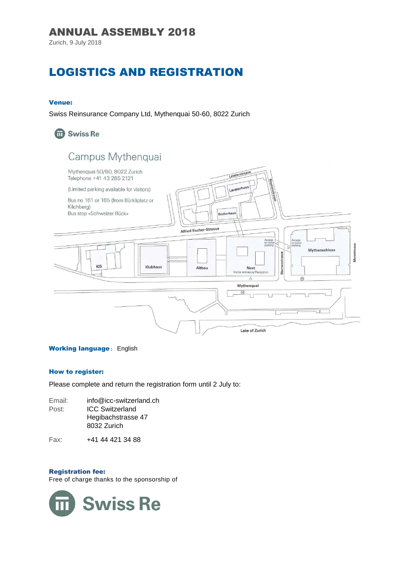Zurich, 9 July 2018

# LOGISTICS AND REGISTRATION

#### Venue:

Swiss Reinsurance Company Ltd, Mythenquai 50-60, 8022 Zurich

# **m** Swiss Re

# Campus Mythenquai



#### **Working language: English**

#### How to register:

Please complete and return the registration form until 2 July to:

Email: info@icc-switzerland.ch Post: ICC Switzerland Hegibachstrasse 47 8032 Zurich

Fax: +41 44 421 34 88

#### Registration fee:

Free of charge thanks to the sponsorship of